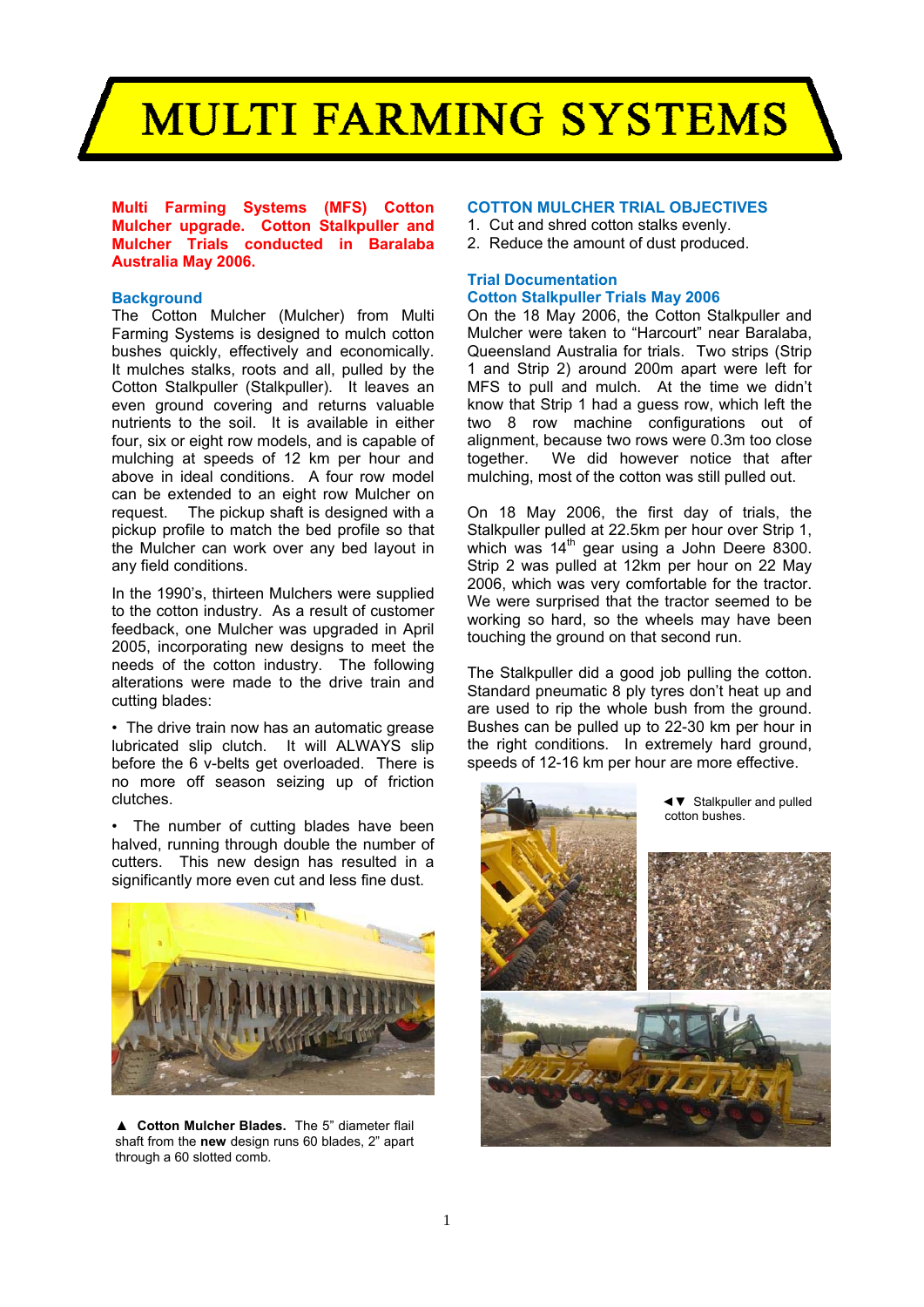## **MULTI FARMING SYSTEMS**

**Multi Farming Systems (MFS) Cotton Mulcher upgrade. Cotton Stalkpuller and Mulcher Trials conducted in Baralaba Australia May 2006.**

### **Background**

The Cotton Mulcher (Mulcher) from Multi Farming Systems is designed to mulch cotton bushes quickly, effectively and economically. It mulches stalks, roots and all, pulled by the Cotton Stalkpuller (Stalkpuller). It leaves an even ground covering and returns valuable nutrients to the soil. It is available in either four, six or eight row models, and is capable of mulching at speeds of 12 km per hour and above in ideal conditions. A four row model can be extended to an eight row Mulcher on request. The pickup shaft is designed with a pickup profile to match the bed profile so that the Mulcher can work over any bed layout in any field conditions.

In the 1990's, thirteen Mulchers were supplied to the cotton industry. As a result of customer feedback, one Mulcher was upgraded in April 2005, incorporating new designs to meet the needs of the cotton industry. The following alterations were made to the drive train and cutting blades:

• The drive train now has an automatic grease lubricated slip clutch. It will ALWAYS slip before the 6 v-belts get overloaded. There is no more off season seizing up of friction clutches.

• The number of cutting blades have been halved, running through double the number of cutters. This new design has resulted in a significantly more even cut and less fine dust.



**▲ Cotton Mulcher Blades.** The 5" diameter flail shaft from the **new** design runs 60 blades, 2" apart through a 60 slotted comb.

### **COTTON MULCHER TRIAL OBJECTIVES**

- 1. Cut and shred cotton stalks evenly.
- 2. Reduce the amount of dust produced.

### **Trial Documentation Cotton Stalkpuller Trials May 2006**

On the 18 May 2006, the Cotton Stalkpuller and Mulcher were taken to "Harcourt" near Baralaba, Queensland Australia for trials. Two strips (Strip 1 and Strip 2) around 200m apart were left for MFS to pull and mulch. At the time we didn't know that Strip 1 had a guess row, which left the two 8 row machine configurations out of alignment, because two rows were 0.3m too close together. We did however notice that after mulching, most of the cotton was still pulled out.

On 18 May 2006, the first day of trials, the Stalkpuller pulled at 22.5km per hour over Strip 1, which was 14<sup>th</sup> gear using a John Deere 8300. Strip 2 was pulled at 12km per hour on 22 May 2006, which was very comfortable for the tractor. We were surprised that the tractor seemed to be working so hard, so the wheels may have been touching the ground on that second run.

The Stalkpuller did a good job pulling the cotton. Standard pneumatic 8 ply tyres don't heat up and are used to rip the whole bush from the ground. Bushes can be pulled up to 22-30 km per hour in the right conditions. In extremely hard ground, speeds of 12-16 km per hour are more effective.